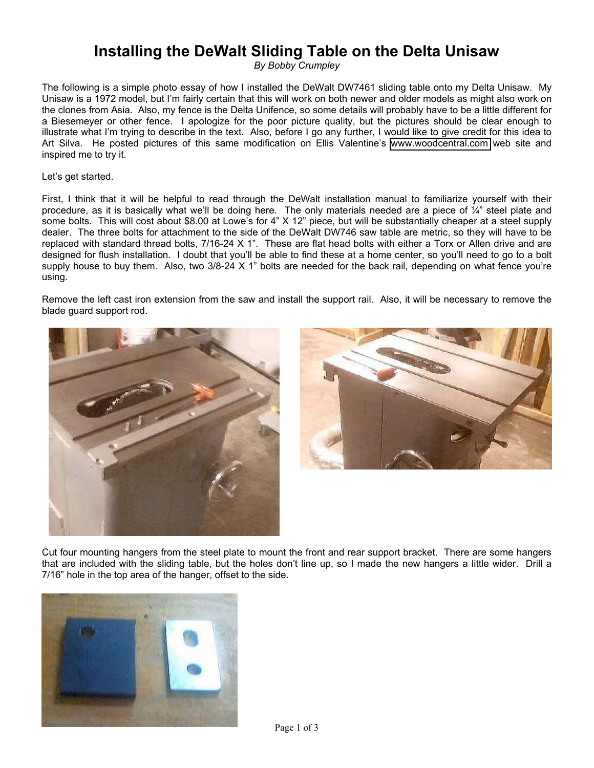## **Installing the DeWalt Sliding Table on the Delta Unisaw**

*By Bobby Crumpley*

The following is a simple photo essay of how I installed the DeWalt DW7461 sliding table onto my Delta Unisaw. My Unisaw is a 1972 model, but I'm fairly certain that this will work on both newer and older models as might also work on the clones from Asia. Also, my fence is the Delta Unifence, so some details will probably have to be a little different for a Biesemeyer or other fence. I apologize for the poor picture quality, but the pictures should be clear enough to illustrate what I'm trying to describe in the text. Also, before I go any further, I would like to give credit for this idea to Art Silva. He posted pictures of this same modification on Ellis Valentine's [www.woodcentral.com](http://www.woodcentral.com/) web site and inspired me to try it.

Let's get started.

First, I think that it will be helpful to read through the DeWalt installation manual to familiarize yourself with their procedure, as it is basically what we'll be doing here. The only materials needed are a piece of ¼" steel plate and some bolts. This will cost about \$8.00 at Lowe's for 4" X 12" piece, but will be substantially cheaper at a steel supply dealer. The three bolts for attachment to the side of the DeWalt DW746 saw table are metric, so they will have to be replaced with standard thread bolts, 7/16-24 X 1". These are flat head bolts with either a Torx or Allen drive and are designed for flush installation. I doubt that you'll be able to find these at a home center, so you'll need to go to a bolt supply house to buy them. Also, two 3/8-24 X 1" bolts are needed for the back rail, depending on what fence you're using.

Remove the left cast iron extension from the saw and install the support rail. Also, it will be necessary to remove the blade guard support rod.





Cut four mounting hangers from the steel plate to mount the front and rear support bracket. There are some hangers that are included with the sliding table, but the holes don't line up, so I made the new hangers a little wider. Drill a 7/16" hole in the top area of the hanger, offset to the side.

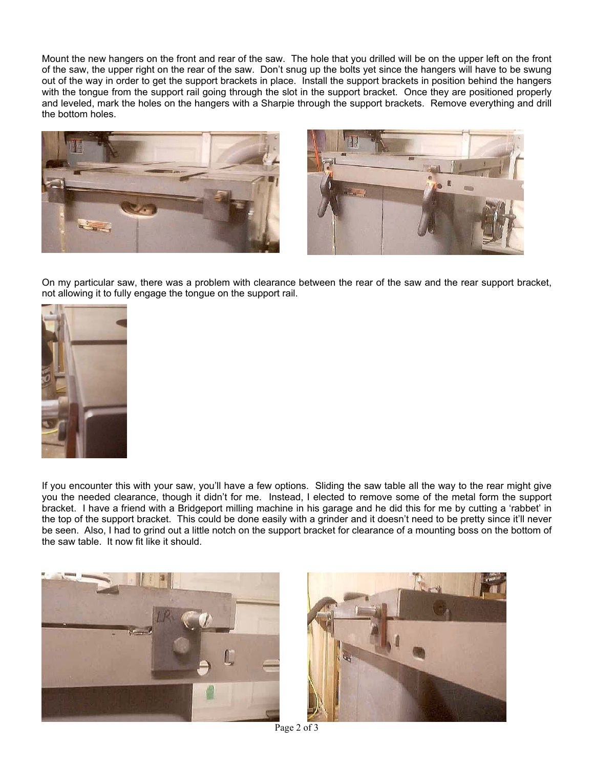Mount the new hangers on the front and rear of the saw. The hole that you drilled will be on the upper left on the front of the saw, the upper right on the rear of the saw. Don't snug up the bolts yet since the hangers will have to be swung out of the way in order to get the support brackets in place. Install the support brackets in position behind the hangers with the tongue from the support rail going through the slot in the support bracket. Once they are positioned properly and leveled, mark the holes on the hangers with a Sharpie through the support brackets. Remove everything and drill the bottom holes.





On my particular saw, there was a problem with clearance between the rear of the saw and the rear support bracket, not allowing it to fully engage the tongue on the support rail.



If you encounter this with your saw, you'll have a few options. Sliding the saw table all the way to the rear might give you the needed clearance, though it didn't for me. Instead, I elected to remove some of the metal form the support bracket. I have a friend with a Bridgeport milling machine in his garage and he did this for me by cutting a 'rabbet' in the top of the support bracket. This could be done easily with a grinder and it doesn't need to be pretty since it'll never be seen. Also, I had to grind out a little notch on the support bracket for clearance of a mounting boss on the bottom of the saw table. It now fit like it should.